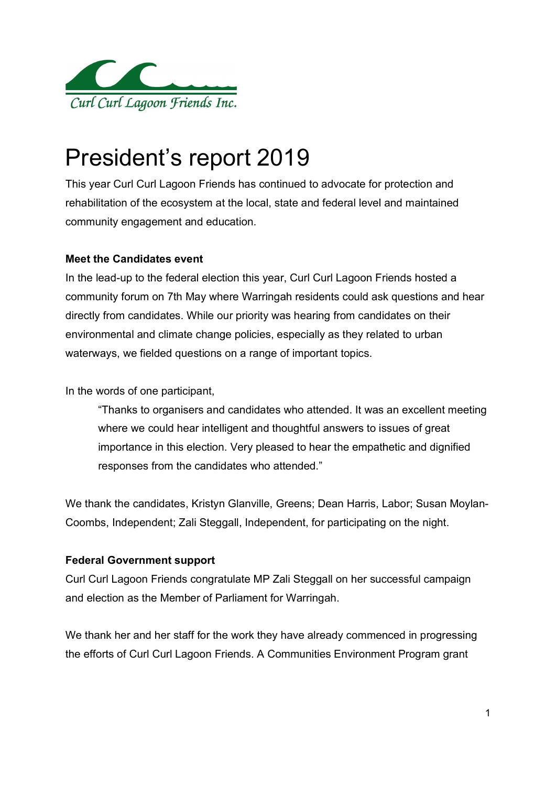

# President's report 2019

This year Curl Curl Lagoon Friends has continued to advocate for protection and rehabilitation of the ecosystem at the local, state and federal level and maintained community engagement and education.

## Meet the Candidates event

In the lead-up to the federal election this year, Curl Curl Lagoon Friends hosted a community forum on 7th May where Warringah residents could ask questions and hear directly from candidates. While our priority was hearing from candidates on their environmental and climate change policies, especially as they related to urban waterways, we fielded questions on a range of important topics.

In the words of one participant,

"Thanks to organisers and candidates who attended. It was an excellent meeting where we could hear intelligent and thoughtful answers to issues of great importance in this election. Very pleased to hear the empathetic and dignified responses from the candidates who attended."

We thank the candidates, Kristyn Glanville, Greens; Dean Harris, Labor; Susan Moylan-Coombs, Independent; Zali Steggall, Independent, for participating on the night.

# Federal Government support

Curl Curl Lagoon Friends congratulate MP Zali Steggall on her successful campaign and election as the Member of Parliament for Warringah.

We thank her and her staff for the work they have already commenced in progressing the efforts of Curl Curl Lagoon Friends. A Communities Environment Program grant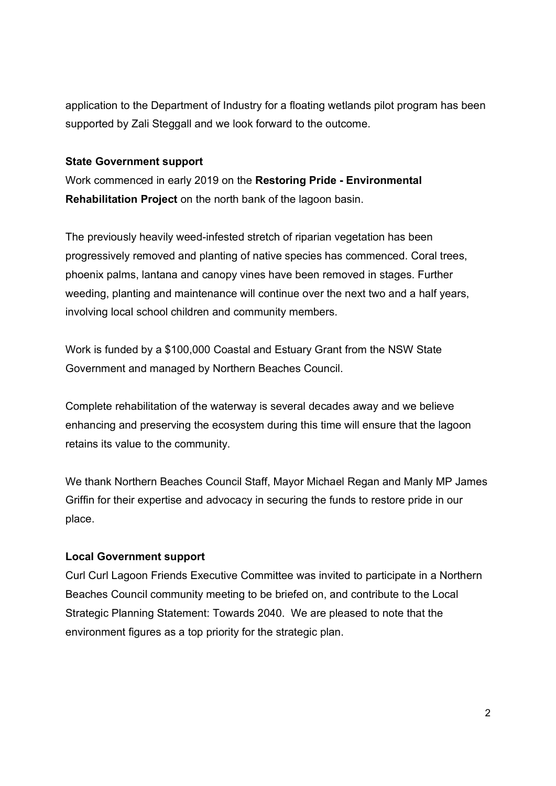application to the Department of Industry for a floating wetlands pilot program has been supported by Zali Steggall and we look forward to the outcome.

#### State Government support

Work commenced in early 2019 on the Restoring Pride - Environmental Rehabilitation Project on the north bank of the lagoon basin.

The previously heavily weed-infested stretch of riparian vegetation has been progressively removed and planting of native species has commenced. Coral trees, phoenix palms, lantana and canopy vines have been removed in stages. Further weeding, planting and maintenance will continue over the next two and a half years, involving local school children and community members.

Work is funded by a \$100,000 Coastal and Estuary Grant from the NSW State Government and managed by Northern Beaches Council.

Complete rehabilitation of the waterway is several decades away and we believe enhancing and preserving the ecosystem during this time will ensure that the lagoon retains its value to the community.

We thank Northern Beaches Council Staff, Mayor Michael Regan and Manly MP James Griffin for their expertise and advocacy in securing the funds to restore pride in our place.

## Local Government support

Curl Curl Lagoon Friends Executive Committee was invited to participate in a Northern Beaches Council community meeting to be briefed on, and contribute to the Local Strategic Planning Statement: Towards 2040. We are pleased to note that the environment figures as a top priority for the strategic plan.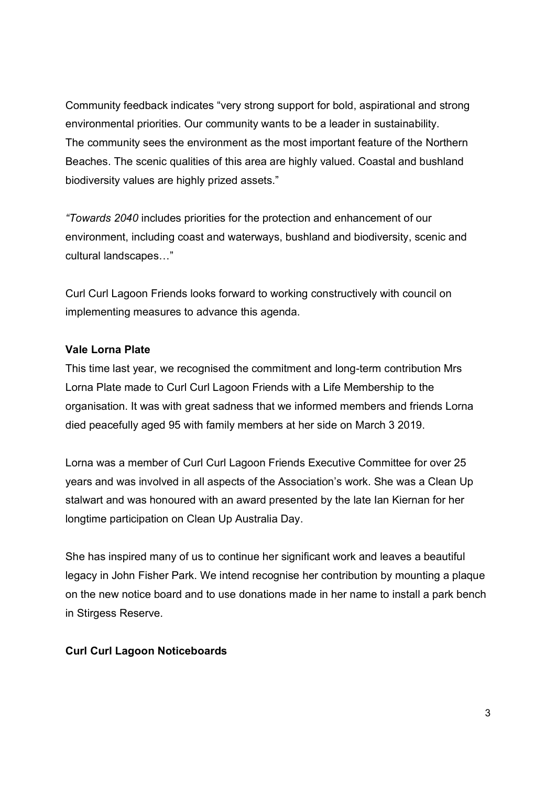Community feedback indicates "very strong support for bold, aspirational and strong environmental priorities. Our community wants to be a leader in sustainability. The community sees the environment as the most important feature of the Northern Beaches. The scenic qualities of this area are highly valued. Coastal and bushland biodiversity values are highly prized assets."

"Towards 2040 includes priorities for the protection and enhancement of our environment, including coast and waterways, bushland and biodiversity, scenic and cultural landscapes…"

Curl Curl Lagoon Friends looks forward to working constructively with council on implementing measures to advance this agenda.

## Vale Lorna Plate

This time last year, we recognised the commitment and long-term contribution Mrs Lorna Plate made to Curl Curl Lagoon Friends with a Life Membership to the organisation. It was with great sadness that we informed members and friends Lorna died peacefully aged 95 with family members at her side on March 3 2019.

Lorna was a member of Curl Curl Lagoon Friends Executive Committee for over 25 years and was involved in all aspects of the Association's work. She was a Clean Up stalwart and was honoured with an award presented by the late Ian Kiernan for her longtime participation on Clean Up Australia Day.

She has inspired many of us to continue her significant work and leaves a beautiful legacy in John Fisher Park. We intend recognise her contribution by mounting a plaque on the new notice board and to use donations made in her name to install a park bench in Stirgess Reserve.

#### Curl Curl Lagoon Noticeboards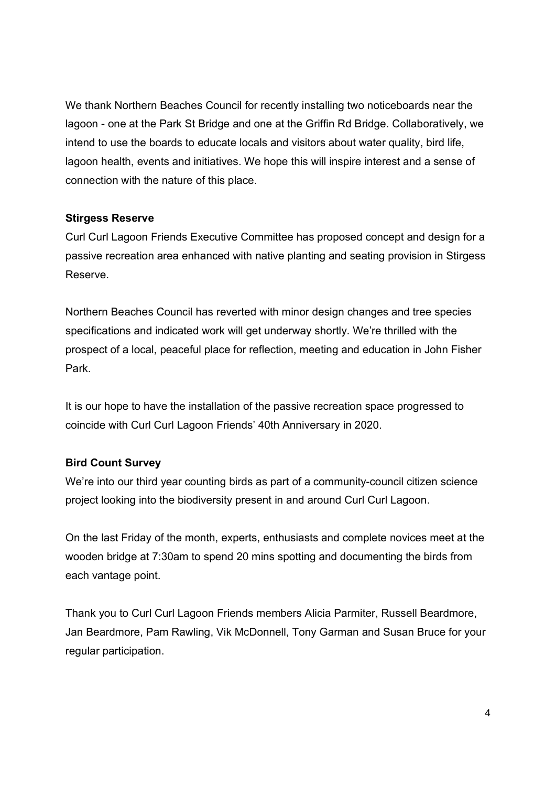We thank Northern Beaches Council for recently installing two noticeboards near the lagoon - one at the Park St Bridge and one at the Griffin Rd Bridge. Collaboratively, we intend to use the boards to educate locals and visitors about water quality, bird life, lagoon health, events and initiatives. We hope this will inspire interest and a sense of connection with the nature of this place.

#### Stirgess Reserve

Curl Curl Lagoon Friends Executive Committee has proposed concept and design for a passive recreation area enhanced with native planting and seating provision in Stirgess Reserve.

Northern Beaches Council has reverted with minor design changes and tree species specifications and indicated work will get underway shortly. We're thrilled with the prospect of a local, peaceful place for reflection, meeting and education in John Fisher Park.

It is our hope to have the installation of the passive recreation space progressed to coincide with Curl Curl Lagoon Friends' 40th Anniversary in 2020.

## Bird Count Survey

We're into our third year counting birds as part of a community-council citizen science project looking into the biodiversity present in and around Curl Curl Lagoon.

On the last Friday of the month, experts, enthusiasts and complete novices meet at the wooden bridge at 7:30am to spend 20 mins spotting and documenting the birds from each vantage point.

Thank you to Curl Curl Lagoon Friends members Alicia Parmiter, Russell Beardmore, Jan Beardmore, Pam Rawling, Vik McDonnell, Tony Garman and Susan Bruce for your regular participation.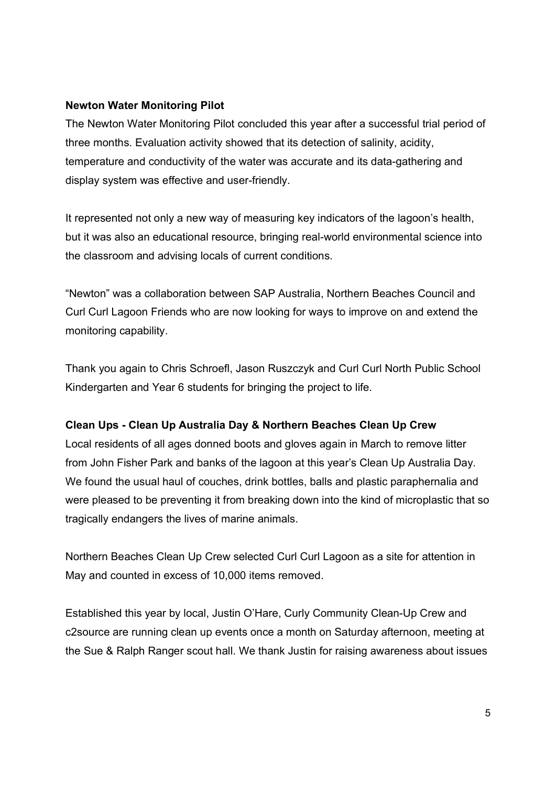## Newton Water Monitoring Pilot

The Newton Water Monitoring Pilot concluded this year after a successful trial period of three months. Evaluation activity showed that its detection of salinity, acidity, temperature and conductivity of the water was accurate and its data-gathering and display system was effective and user-friendly.

It represented not only a new way of measuring key indicators of the lagoon's health, but it was also an educational resource, bringing real-world environmental science into the classroom and advising locals of current conditions.

"Newton" was a collaboration between SAP Australia, Northern Beaches Council and Curl Curl Lagoon Friends who are now looking for ways to improve on and extend the monitoring capability.

Thank you again to Chris Schroefl, Jason Ruszczyk and Curl Curl North Public School Kindergarten and Year 6 students for bringing the project to life.

## Clean Ups - Clean Up Australia Day & Northern Beaches Clean Up Crew

Local residents of all ages donned boots and gloves again in March to remove litter from John Fisher Park and banks of the lagoon at this year's Clean Up Australia Day. We found the usual haul of couches, drink bottles, balls and plastic paraphernalia and were pleased to be preventing it from breaking down into the kind of microplastic that so tragically endangers the lives of marine animals.

Northern Beaches Clean Up Crew selected Curl Curl Lagoon as a site for attention in May and counted in excess of 10,000 items removed.

Established this year by local, Justin O'Hare, Curly Community Clean-Up Crew and c2source are running clean up events once a month on Saturday afternoon, meeting at the Sue & Ralph Ranger scout hall. We thank Justin for raising awareness about issues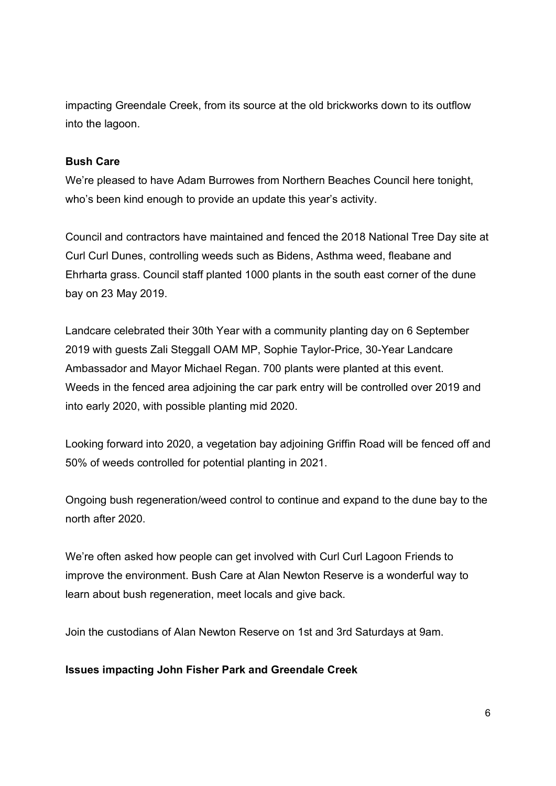impacting Greendale Creek, from its source at the old brickworks down to its outflow into the lagoon.

## Bush Care

We're pleased to have Adam Burrowes from Northern Beaches Council here tonight, who's been kind enough to provide an update this year's activity.

Council and contractors have maintained and fenced the 2018 National Tree Day site at Curl Curl Dunes, controlling weeds such as Bidens, Asthma weed, fleabane and Ehrharta grass. Council staff planted 1000 plants in the south east corner of the dune bay on 23 May 2019.

Landcare celebrated their 30th Year with a community planting day on 6 September 2019 with guests Zali Steggall OAM MP, Sophie Taylor-Price, 30-Year Landcare Ambassador and Mayor Michael Regan. 700 plants were planted at this event. Weeds in the fenced area adjoining the car park entry will be controlled over 2019 and into early 2020, with possible planting mid 2020.

Looking forward into 2020, a vegetation bay adjoining Griffin Road will be fenced off and 50% of weeds controlled for potential planting in 2021.

Ongoing bush regeneration/weed control to continue and expand to the dune bay to the north after 2020.

We're often asked how people can get involved with Curl Curl Lagoon Friends to improve the environment. Bush Care at Alan Newton Reserve is a wonderful way to learn about bush regeneration, meet locals and give back.

Join the custodians of Alan Newton Reserve on 1st and 3rd Saturdays at 9am.

## Issues impacting John Fisher Park and Greendale Creek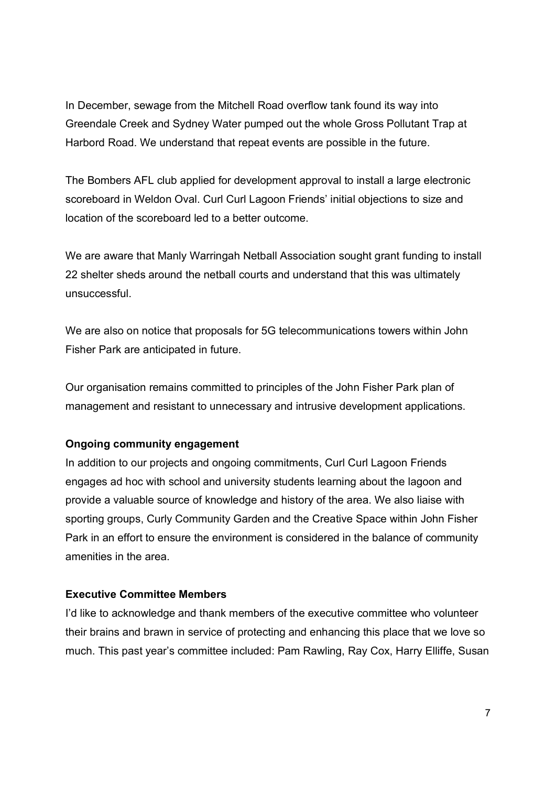In December, sewage from the Mitchell Road overflow tank found its way into Greendale Creek and Sydney Water pumped out the whole Gross Pollutant Trap at Harbord Road. We understand that repeat events are possible in the future.

The Bombers AFL club applied for development approval to install a large electronic scoreboard in Weldon Oval. Curl Curl Lagoon Friends' initial objections to size and location of the scoreboard led to a better outcome.

We are aware that Manly Warringah Netball Association sought grant funding to install 22 shelter sheds around the netball courts and understand that this was ultimately unsuccessful.

We are also on notice that proposals for 5G telecommunications towers within John Fisher Park are anticipated in future.

Our organisation remains committed to principles of the John Fisher Park plan of management and resistant to unnecessary and intrusive development applications.

#### Ongoing community engagement

In addition to our projects and ongoing commitments, Curl Curl Lagoon Friends engages ad hoc with school and university students learning about the lagoon and provide a valuable source of knowledge and history of the area. We also liaise with sporting groups, Curly Community Garden and the Creative Space within John Fisher Park in an effort to ensure the environment is considered in the balance of community amenities in the area.

#### Executive Committee Members

I'd like to acknowledge and thank members of the executive committee who volunteer their brains and brawn in service of protecting and enhancing this place that we love so much. This past year's committee included: Pam Rawling, Ray Cox, Harry Elliffe, Susan